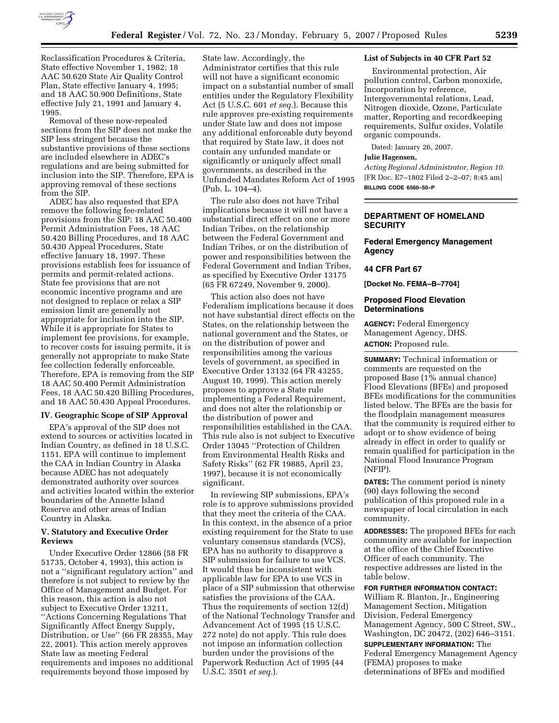

Reclassification Procedures & Criteria, State effective November 1, 1982; 18 AAC 50.620 State Air Quality Control Plan, State effective January 4, 1995; and 18 AAC 50.900 Definitions, State effective July 21, 1991 and January 4, 1995.

Removal of these now-repealed sections from the SIP does not make the SIP less stringent because the substantive provisions of these sections are included elsewhere in ADEC's regulations and are being submitted for inclusion into the SIP. Therefore, EPA is approving removal of these sections from the SIP.

ADEC has also requested that EPA remove the following fee-related provisions from the SIP: 18 AAC 50.400 Permit Administration Fees, 18 AAC 50.420 Billing Procedures, and 18 AAC 50.430 Appeal Procedures, State effective January 18, 1997. These provisions establish fees for issuance of permits and permit-related actions. State fee provisions that are not economic incentive programs and are not designed to replace or relax a SIP emission limit are generally not appropriate for inclusion into the SIP. While it is appropriate for States to implement fee provisions, for example, to recover costs for issuing permits, it is generally not appropriate to make State fee collection federally enforceable. Therefore, EPA is removing from the SIP 18 AAC 50.400 Permit Administration Fees, 18 AAC 50.420 Billing Procedures, and 18 AAC 50.430 Appeal Procedures.

## **IV. Geographic Scope of SIP Approval**

EPA's approval of the SIP does not extend to sources or activities located in Indian Country, as defined in 18 U.S.C. 1151. EPA will continue to implement the CAA in Indian Country in Alaska because ADEC has not adequately demonstrated authority over sources and activities located within the exterior boundaries of the Annette Island Reserve and other areas of Indian Country in Alaska.

#### **V. Statutory and Executive Order Reviews**

Under Executive Order 12866 (58 FR 51735, October 4, 1993), this action is not a ''significant regulatory action'' and therefore is not subject to review by the Office of Management and Budget. For this reason, this action is also not subject to Executive Order 13211, ''Actions Concerning Regulations That Significantly Affect Energy Supply, Distribution, or Use'' (66 FR 28355, May 22, 2001). This action merely approves State law as meeting Federal requirements and imposes no additional requirements beyond those imposed by

State law. Accordingly, the Administrator certifies that this rule will not have a significant economic impact on a substantial number of small entities under the Regulatory Flexibility Act (5 U.S.C. 601 *et seq.*). Because this rule approves pre-existing requirements under State law and does not impose any additional enforceable duty beyond that required by State law, it does not contain any unfunded mandate or significantly or uniquely affect small governments, as described in the Unfunded Mandates Reform Act of 1995 (Pub. L. 104–4).

The rule also does not have Tribal implications because it will not have a substantial direct effect on one or more Indian Tribes, on the relationship between the Federal Government and Indian Tribes, or on the distribution of power and responsibilities between the Federal Government and Indian Tribes, as specified by Executive Order 13175 (65 FR 67249, November 9, 2000).

This action also does not have Federalism implications because it does not have substantial direct effects on the States, on the relationship between the national government and the States, or on the distribution of power and responsibilities among the various levels of government, as specified in Executive Order 13132 (64 FR 43255, August 10, 1999). This action merely proposes to approve a State rule implementing a Federal Requirement, and does not alter the relationship or the distribution of power and responsibilities established in the CAA. This rule also is not subject to Executive Order 13045 ''Protection of Children from Environmental Health Risks and Safety Risks'' (62 FR 19885, April 23, 1997), because it is not economically significant.

In reviewing SIP submissions, EPA's role is to approve submissions provided that they meet the criteria of the CAA. In this context, in the absence of a prior existing requirement for the State to use voluntary consensus standards (VCS), EPA has no authority to disapprove a SIP submission for failure to use VCS. It would thus be inconsistent with applicable law for EPA to use VCS in place of a SIP submission that otherwise satisfies the provisions of the CAA. Thus the requirements of section 12(d) of the National Technology Transfer and Advancement Act of 1995 (15 U.S.C. 272 note) do not apply. This rule does not impose an information collection burden under the provisions of the Paperwork Reduction Act of 1995 (44 U.S.C. 3501 *et seq.*).

## **List of Subjects in 40 CFR Part 52**

Environmental protection, Air pollution control, Carbon monoxide, Incorporation by reference, Intergovernmental relations, Lead, Nitrogen dioxide, Ozone, Particulate matter, Reporting and recordkeeping requirements, Sulfur oxides, Volatile organic compounds.

Dated: January 26, 2007.

#### **Julie Hagensen,**

*Acting Regional Administrator, Region 10.*  [FR Doc. E7–1802 Filed 2–2–07; 8:45 am] **BILLING CODE 6560–50–P** 

## **DEPARTMENT OF HOMELAND SECURITY**

# **Federal Emergency Management Agency**

#### **44 CFR Part 67**

**[Docket No. FEMA–B–7704]** 

## **Proposed Flood Elevation Determinations**

**AGENCY:** Federal Emergency Management Agency, DHS. **ACTION:** Proposed rule.

**SUMMARY:** Technical information or comments are requested on the proposed Base (1% annual chance) Flood Elevations (BFEs) and proposed BFEs modifications for the communities listed below. The BFEs are the basis for the floodplain management measures that the community is required either to adopt or to show evidence of being already in effect in order to qualify or remain qualified for participation in the National Flood Insurance Program (NFIP).

**DATES:** The comment period is ninety (90) days following the second publication of this proposed rule in a newspaper of local circulation in each community.

**ADDRESSES:** The proposed BFEs for each community are available for inspection at the office of the Chief Executive Officer of each community. The respective addresses are listed in the table below.

#### **FOR FURTHER INFORMATION CONTACT:**

William R. Blanton, Jr., Engineering Management Section, Mitigation Division, Federal Emergency Management Agency, 500 C Street, SW., Washington, DC 20472, (202) 646–3151.

**SUPPLEMENTARY INFORMATION:** The Federal Emergency Management Agency (FEMA) proposes to make determinations of BFEs and modified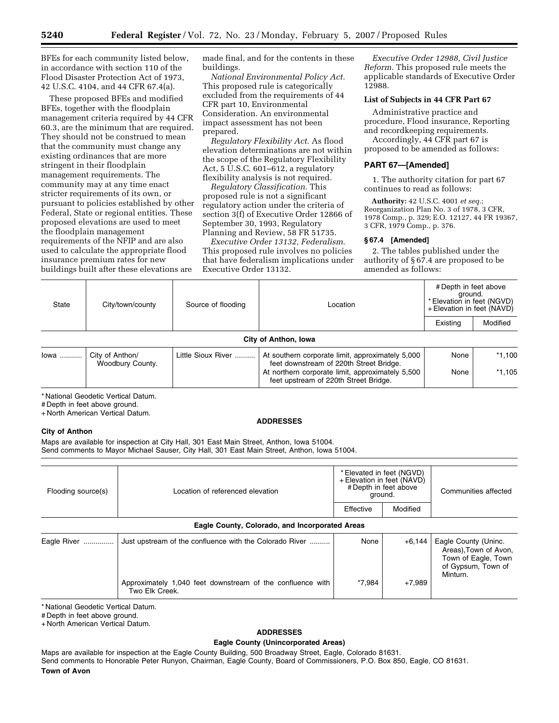BFEs for each community listed below, in accordance with section 110 of the Flood Disaster Protection Act of 1973, 42 U.S.C. 4104, and 44 CFR 67.4(a).

These proposed BFEs and modified BFEs, together with the floodplain management criteria required by 44 CFR 60.3, are the minimum that are required. They should not be construed to mean that the community must change any existing ordinances that are more stringent in their floodplain management requirements. The community may at any time enact stricter requirements of its own, or pursuant to policies established by other Federal, State or regional entities. These proposed elevations are used to meet the floodplain management requirements of the NFIP and are also used to calculate the appropriate flood insurance premium rates for new buildings built after these elevations are

made final, and for the contents in these buildings.

*National Environmental Policy Act.*  This proposed rule is categorically excluded from the requirements of 44 CFR part 10, Environmental Consideration. An environmental impact assessment has not been prepared.

*Regulatory Flexibility Act.* As flood elevation determinations are not within the scope of the Regulatory Flexibility Act, 5 U.S.C. 601–612, a regulatory flexibility analysis is not required.

*Regulatory Classification.* This proposed rule is not a significant regulatory action under the criteria of section 3(f) of Executive Order 12866 of September 30, 1993, Regulatory Planning and Review, 58 FR 51735.

*Executive Order 13132, Federalism.*  This proposed rule involves no policies that have federalism implications under Executive Order 13132.

*Executive Order 12988, Civil Justice Reform.* This proposed rule meets the applicable standards of Executive Order 12988.

# **List of Subjects in 44 CFR Part 67**

Administrative practice and procedure, Flood insurance, Reporting and recordkeeping requirements.

Accordingly, 44 CFR part 67 is proposed to be amended as follows:

## **PART 67—[Amended]**

1. The authority citation for part 67 continues to read as follows:

**Authority:** 42 U.S.C. 4001 *et seq.*; Reorganization Plan No. 3 of 1978, 3 CFR, 1978 Comp., p. 329; E.O. 12127, 44 FR 19367, 3 CFR, 1979 Comp., p. 376.

#### **§ 67.4 [Amended]**

2. The tables published under the authority of § 67.4 are proposed to be amended as follows:

| <b>State</b>         | City/town/county<br>Source of flooding | Location | # Depth in feet above<br>ground.<br>* Elevation in feet (NGVD)<br>+ Elevation in feet (NAVD) |          |          |
|----------------------|----------------------------------------|----------|----------------------------------------------------------------------------------------------|----------|----------|
|                      |                                        |          |                                                                                              | Existing | Modified |
| City of Anthon, Iowa |                                        |          |                                                                                              |          |          |

| lowa | City of Anthon/  | Little Sioux River | At southern corporate limit, approximately 5,000                                          | None | $*1.100$ |
|------|------------------|--------------------|-------------------------------------------------------------------------------------------|------|----------|
|      | Woodbury County. |                    | feet downstream of 220th Street Bridge.                                                   |      |          |
|      |                  |                    | At northern corporate limit, approximately 5,500<br>feet upstream of 220th Street Bridge. | None | *1.105   |

\* National Geodetic Vertical Datum.

# Depth in feet above ground.

+ North American Vertical Datum.

#### **ADDRESSES**

#### **City of Anthon**

Maps are available for inspection at City Hall, 301 East Main Street, Anthon, Iowa 51004. Send comments to Mayor Michael Sauser, City Hall, 301 East Main Street, Anthon, Iowa 51004.

| Flooding source(s)                             | Location of referenced elevation                                             | * Elevated in feet (NGVD)<br>+ Elevation in feet (NAVD)<br># Depth in feet above<br>ground.<br>Effective<br>Modified |          | Communities affected                                                                                   |  |  |
|------------------------------------------------|------------------------------------------------------------------------------|----------------------------------------------------------------------------------------------------------------------|----------|--------------------------------------------------------------------------------------------------------|--|--|
| Eagle County, Colorado, and Incorporated Areas |                                                                              |                                                                                                                      |          |                                                                                                        |  |  |
| Eagle River                                    | Just upstream of the confluence with the Colorado River                      | None                                                                                                                 | $+6.144$ | Eagle County (Uninc.<br>Areas), Town of Avon,<br>Town of Eagle, Town<br>of Gypsum, Town of<br>Minturn. |  |  |
|                                                | Approximately 1,040 feet downstream of the confluence with<br>Two Elk Creek. | *7.984                                                                                                               | $+7,989$ |                                                                                                        |  |  |

\* National Geodetic Vertical Datum.

# Depth in feet above ground.

+ North American Vertical Datum.

# **ADDRESSES**

#### **Eagle County (Unincorporated Areas)**

Maps are available for inspection at the Eagle County Building, 500 Broadway Street, Eagle, Colorado 81631. Send comments to Honorable Peter Runyon, Chairman, Eagle County, Board of Commissioners, P.O. Box 850, Eagle, CO 81631. **Town of Avon**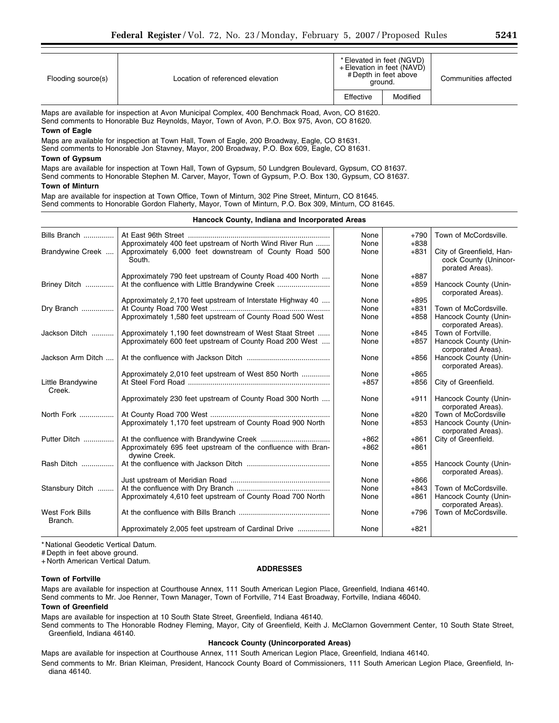|                       | Flooding source(s) | Location of referenced elevation | * Elevated in feet (NGVD)<br>+ Elevation in feet (NAVD)<br># Depth in feet above<br>ground. | Communities affected |
|-----------------------|--------------------|----------------------------------|---------------------------------------------------------------------------------------------|----------------------|
| Modified<br>Effective |                    |                                  |                                                                                             |                      |

Maps are available for inspection at Avon Municipal Complex, 400 Benchmack Road, Avon, CO 81620. Send comments to Honorable Buz Reynolds, Mayor, Town of Avon, P.O. Box 975, Avon, CO 81620.

#### **Town of Eagle**

Maps are available for inspection at Town Hall, Town of Eagle, 200 Broadway, Eagle, CO 81631. Send comments to Honorable Jon Stavney, Mayor, 200 Broadway, P.O. Box 609, Eagle, CO 81631.

#### **Town of Gypsum**

Maps are available for inspection at Town Hall, Town of Gypsum, 50 Lundgren Boulevard, Gypsum, CO 81637. Send comments to Honorable Stephen M. Carver, Mayor, Town of Gypsum, P.O. Box 130, Gypsum, CO 81637.

#### **Town of Minturn**

Map are available for inspection at Town Office, Town of Minturn, 302 Pine Street, Minturn, CO 81645. Send comments to Honorable Gordon Flaherty, Mayor, Town of Minturn, P.O. Box 309, Minturn, CO 81645.

| Hancock County, Indiana and Incorporated Areas |                                                                               |        |        |                                                                      |
|------------------------------------------------|-------------------------------------------------------------------------------|--------|--------|----------------------------------------------------------------------|
| Bills Branch                                   |                                                                               | None   | $+790$ | Town of McCordsville.                                                |
|                                                | Approximately 400 feet upstream of North Wind River Run                       | None   | $+838$ |                                                                      |
| Brandywine Creek                               | Approximately 6,000 feet downstream of County Road 500<br>South.              | None   | $+831$ | City of Greenfield, Han-<br>cock County (Unincor-<br>porated Areas). |
|                                                | Approximately 790 feet upstream of County Road 400 North                      | None   | $+887$ |                                                                      |
| Briney Ditch                                   | At the confluence with Little Brandywine Creek                                | None   | $+859$ | Hancock County (Unin-<br>corporated Areas).                          |
|                                                | Approximately 2,170 feet upstream of Interstate Highway 40                    | None   | $+895$ |                                                                      |
| Dry Branch                                     |                                                                               | None   | $+831$ | Town of McCordsville.                                                |
|                                                | Approximately 1,580 feet upstream of County Road 500 West                     | None   | $+858$ | Hancock County (Unin-<br>corporated Areas).                          |
| Jackson Ditch                                  | Approximately 1,190 feet downstream of West Staat Street                      | None   | $+845$ | Town of Fortville.                                                   |
|                                                | Approximately 600 feet upstream of County Road 200 West                       | None   | $+857$ | Hancock County (Unin-<br>corporated Areas).                          |
| Jackson Arm Ditch                              |                                                                               | None   | $+856$ | Hancock County (Unin-<br>corporated Areas).                          |
|                                                | Approximately 2,010 feet upstream of West 850 North                           | None   | $+865$ |                                                                      |
| Little Brandywine<br>Creek.                    |                                                                               | $+857$ | +856   | City of Greenfield.                                                  |
|                                                | Approximately 230 feet upstream of County Road 300 North                      | None   | $+911$ | Hancock County (Unin-<br>corporated Areas).                          |
| North Fork                                     |                                                                               | None   | $+820$ | Town of McCordsville                                                 |
|                                                | Approximately 1,170 feet upstream of County Road 900 North                    | None   | $+853$ | Hancock County (Unin-<br>corporated Areas).                          |
| Putter Ditch                                   |                                                                               | $+862$ | $+861$ | City of Greenfield.                                                  |
|                                                | Approximately 695 feet upstream of the confluence with Bran-<br>dywine Creek. | $+862$ | $+861$ |                                                                      |
| Rash Ditch                                     |                                                                               | None   | $+855$ | Hancock County (Unin-<br>corporated Areas).                          |
|                                                |                                                                               | None   | $+866$ |                                                                      |
| Stansbury Ditch                                |                                                                               | None   | $+843$ | Town of McCordsville.                                                |
|                                                | Approximately 4,610 feet upstream of County Road 700 North                    | None   | $+861$ | Hancock County (Unin-<br>corporated Areas).                          |
| <b>West Fork Bills</b><br>Branch.              |                                                                               | None   | $+796$ | Town of McCordsville.                                                |
|                                                | Approximately 2,005 feet upstream of Cardinal Drive                           | None   | $+821$ |                                                                      |

\* National Geodetic Vertical Datum.

# Depth in feet above ground.

+ North American Vertical Datum.

## **ADDRESSES**

**Town of Fortville** 

Maps are available for inspection at Courthouse Annex, 111 South American Legion Place, Greenfield, Indiana 46140. Send comments to Mr. Joe Renner, Town Manager, Town of Fortville, 714 East Broadway, Fortville, Indiana 46040.

#### **Town of Greenfield**

Maps are available for inspection at 10 South State Street, Greenfield, Indiana 46140.

Send comments to The Honorable Rodney Fleming, Mayor, City of Greenfield, Keith J. McClarnon Government Center, 10 South State Street, Greenfield, Indiana 46140.

# **Hancock County (Unincorporated Areas)**

Maps are available for inspection at Courthouse Annex, 111 South American Legion Place, Greenfield, Indiana 46140. Send comments to Mr. Brian Kleiman, President, Hancock County Board of Commissioners, 111 South American Legion Place, Greenfield, Indiana 46140.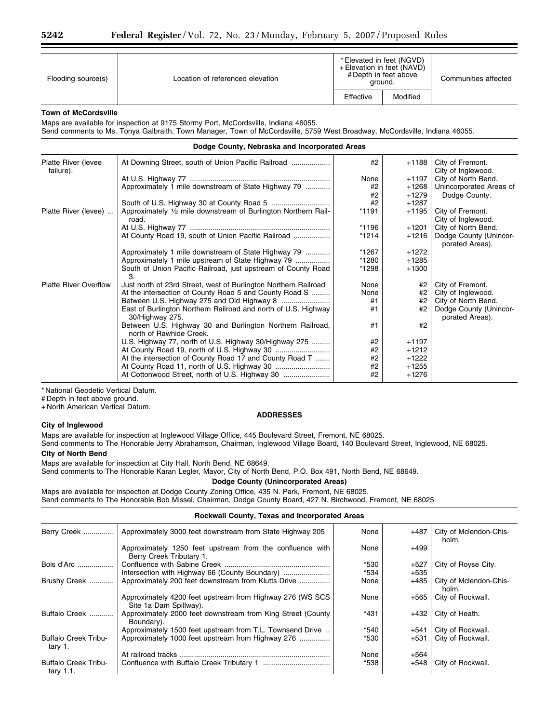| Flooding source(s) | Location of referenced elevation | * Elevated in feet (NGVD)<br>+ Elevation in feet (NAVD)<br># Depth in feet above<br>ground. |          | Communities affected |
|--------------------|----------------------------------|---------------------------------------------------------------------------------------------|----------|----------------------|
|                    |                                  | Effective                                                                                   | Modified |                      |

#### **Town of McCordsville**

Maps are available for inspection at 9175 Stormy Port, McCordsville, Indiana 46055.

Send comments to Ms. Tonya Galbraith, Town Manager, Town of McCordsville, 5759 West Broadway, McCordsville, Indiana 46055.

| Dodge County, Nebraska and Incorporated Areas |                                                                                      |         |         |                                           |
|-----------------------------------------------|--------------------------------------------------------------------------------------|---------|---------|-------------------------------------------|
| Platte River (levee<br>failure).              |                                                                                      | #2      | +1188   | City of Fremont.<br>City of Inglewood.    |
|                                               |                                                                                      | None    | $+1197$ | City of North Bend.                       |
|                                               | Approximately 1 mile downstream of State Highway 79                                  | #2      | $+1268$ | Unincorporated Areas of                   |
|                                               |                                                                                      | #2      | $+1279$ | Dodge County.                             |
|                                               |                                                                                      | #2      | $+1287$ |                                           |
| Platte River (levee)                          | Approximately 1/2 mile downstream of Burlington Northern Rail-                       | *1191   | $+1195$ | City of Fremont.                          |
|                                               | road.                                                                                |         |         | City of Inglewood.                        |
|                                               |                                                                                      | *1196   | +1201   | City of North Bend.                       |
|                                               | At County Road 19, south of Union Pacific Railroad                                   | $*1214$ | $+1216$ | Dodge County (Unincor-<br>porated Areas). |
|                                               | Approximately 1 mile downstream of State Highway 79                                  | *1267   | $+1272$ |                                           |
|                                               | Approximately 1 mile upstream of State Highway 79                                    | *1280   | $+1285$ |                                           |
|                                               | South of Union Pacific Railroad, just upstream of County Road<br>З.                  | *1298   | $+1300$ |                                           |
| <b>Platte River Overflow</b>                  | Just north of 23rd Street, west of Burlington Northern Railroad                      | None    | #2      | City of Fremont.                          |
|                                               | At the intersection of County Road 5 and County Road S                               | None    | #2      | City of Inglewood.                        |
|                                               | Between U.S. Highway 275 and Old Highway 8                                           | #1      | #2      | City of North Bend.                       |
|                                               | East of Burlington Northern Railroad and north of U.S. Highway<br>30/Highway 275.    | #1      | #2      | Dodge County (Unincor-<br>porated Areas). |
|                                               | Between U.S. Highway 30 and Burlington Northern Railroad,<br>north of Rawhide Creek. | #1      | #2      |                                           |
|                                               | U.S. Highway 77, north of U.S. Highway 30/Highway 275                                | #2      | $+1197$ |                                           |
|                                               |                                                                                      | #2      | $+1212$ |                                           |
|                                               | At the intersection of County Road 17 and County Road T                              | #2      | $+1222$ |                                           |
|                                               |                                                                                      | #2      | $+1255$ |                                           |
|                                               |                                                                                      | #2      | $+1276$ |                                           |

\* National Geodetic Vertical Datum.

# Depth in feet above ground.

+ North American Vertical Datum.

## **ADDRESSES**

## **City of Inglewood**

Maps are available for inspection at Inglewood Village Office, 445 Boulevard Street, Fremont, NE 68025.

Send comments to The Honorable Jerry Abrahamson, Chairman, Inglewood Village Board, 140 Boulevard Street, Inglewood, NE 68025.

# **City of North Bend**

Maps are available for inspection at City Hall, North Bend, NE 68649.

Send comments to The Honorable Karan Legler, Mayor, City of North Bend, P.O. Box 491, North Bend, NE 68649.

# **Dodge County (Unincorporated Areas)**

Maps are available for inspection at Dodge County Zoning Office, 435 N. Park, Fremont, NE 68025. Send comments to The Honorable Bob Missel, Chairman, Dodge County Board, 427 N. Birchwood, Fremont, NE 68025.

#### **Rockwall County, Texas and Incorporated Areas**

| Berry Creek                                 | Approximately 3000 feet downstream from State Highway 205                             | None   | $+487$ | City of Mclendon-Chis-<br>holm. |
|---------------------------------------------|---------------------------------------------------------------------------------------|--------|--------|---------------------------------|
|                                             | Approximately 1250 feet upstream from the confluence with<br>Berry Creek Tributary 1. | None   | $+499$ |                                 |
| Bois d'Arc                                  |                                                                                       | *530   | $+527$ | City of Royse City.             |
|                                             |                                                                                       | $*534$ | +535   |                                 |
| Brushy Creek                                | Approximately 200 feet downstream from Klutts Drive                                   | None   | +485   | City of Mclendon-Chis-<br>holm. |
|                                             | Approximately 4200 feet upstream from Highway 276 (WS SCS)<br>Site 1a Dam Spillway).  | None   | +565   | City of Rockwall.               |
| Buffalo Creek                               | Approximately 2000 feet downstream from King Street (County<br>Boundary).             | $*431$ | +432   | City of Heath.                  |
|                                             | Approximately 1500 feet upstream from T.L. Townsend Drive                             | *540   | +541   | City of Rockwall.               |
| <b>Buffalo Creek Tribu-</b><br>tary 1.      | Approximately 1000 feet upstream from Highway 276                                     | *530   | $+531$ | City of Rockwall.               |
|                                             |                                                                                       | None   | +564   |                                 |
| <b>Buffalo Creek Tribu-</b><br>tary $1.1$ . |                                                                                       | *538   | $+548$ | City of Rockwall.               |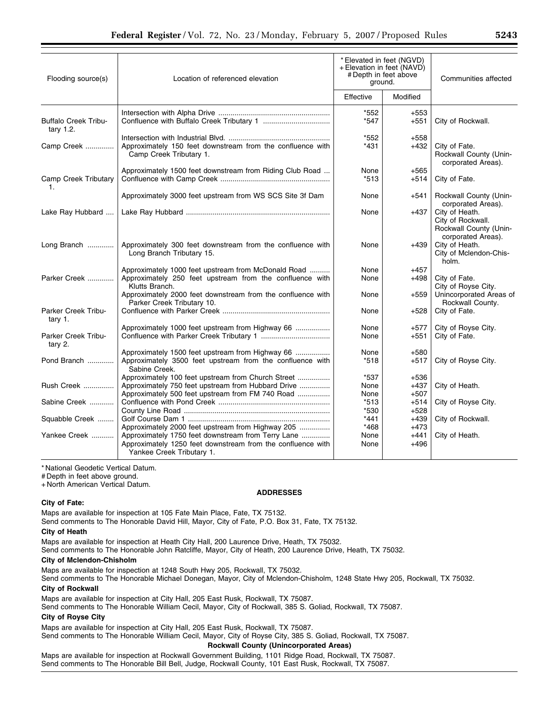| Flooding source(s)                          | Location of referenced elevation                                                                                                               | * Elevated in feet (NGVD)<br>+ Elevation in feet (NAVD)<br># Depth in feet above<br>ground. |                  | Communities affected                                                                |
|---------------------------------------------|------------------------------------------------------------------------------------------------------------------------------------------------|---------------------------------------------------------------------------------------------|------------------|-------------------------------------------------------------------------------------|
|                                             |                                                                                                                                                | Effective                                                                                   | Modified         |                                                                                     |
| <b>Buffalo Creek Tribu-</b><br>tary $1.2$ . |                                                                                                                                                | *552<br>*547                                                                                | $+553$<br>+551   | City of Rockwall.                                                                   |
| Camp Creek                                  | Approximately 150 feet downstream from the confluence with<br>Camp Creek Tributary 1.                                                          | *552<br>$*431$                                                                              | $+558$<br>+432   | City of Fate.<br>Rockwall County (Unin-<br>corporated Areas).                       |
| Camp Creek Tributary<br>1.                  | Approximately 1500 feet downstream from Riding Club Road                                                                                       | None<br>$*513$                                                                              | $+565$<br>+514   | City of Fate.                                                                       |
|                                             | Approximately 3000 feet upstream from WS SCS Site 3f Dam                                                                                       | None                                                                                        | +541             | Rockwall County (Unin-<br>corporated Areas).                                        |
| Lake Ray Hubbard                            |                                                                                                                                                | None                                                                                        | +437             | City of Heath.<br>City of Rockwall.<br>Rockwall County (Unin-<br>corporated Areas). |
| Long Branch                                 | Approximately 300 feet downstream from the confluence with<br>Long Branch Tributary 15.                                                        | None                                                                                        | +439             | City of Heath.<br>City of Mclendon-Chis-<br>holm.                                   |
|                                             | Approximately 1000 feet upstream from McDonald Road                                                                                            | None                                                                                        | $+457$           |                                                                                     |
| Parker Creek                                | Approximately 250 feet upstream from the confluence with<br>Klutts Branch.                                                                     | None                                                                                        | +498             | City of Fate.<br>City of Royse City.                                                |
|                                             | Approximately 2000 feet downstream from the confluence with<br>Parker Creek Tributary 10.                                                      | None                                                                                        | $+559$           | Unincorporated Areas of<br>Rockwall County.                                         |
| Parker Creek Tribu-<br>tary 1.              |                                                                                                                                                | None                                                                                        | +528             | City of Fate.                                                                       |
|                                             | Approximately 1000 feet upstream from Highway 66                                                                                               | None                                                                                        | +577             | City of Royse City.                                                                 |
| Parker Creek Tribu-<br>tary 2.              |                                                                                                                                                | None                                                                                        | $+551$           | City of Fate.                                                                       |
|                                             | Approximately 1500 feet upstream from Highway 66                                                                                               | None                                                                                        | $+580$           |                                                                                     |
| Pond Branch                                 | Approximately 3500 feet upstream from the confluence with<br>Sabine Creek.                                                                     | $*518$                                                                                      | +517             | City of Royse City.                                                                 |
|                                             | Approximately 100 feet upstream from Church Street                                                                                             | *537                                                                                        | +536             |                                                                                     |
| <b>Rush Creek </b>                          | Approximately 750 feet upstream from Hubbard Drive                                                                                             | None                                                                                        | $+437$           | City of Heath.                                                                      |
|                                             | Approximately 500 feet upstream from FM 740 Road                                                                                               | None                                                                                        | +507             |                                                                                     |
| Sabine Creek                                |                                                                                                                                                | $*513$                                                                                      | $+514$           | City of Royse City.                                                                 |
|                                             |                                                                                                                                                | *530                                                                                        | $+528$           |                                                                                     |
| Squabble Creek                              |                                                                                                                                                | $*441$                                                                                      | +439             | City of Rockwall.                                                                   |
|                                             | Approximately 2000 feet upstream from Highway 205                                                                                              | *468                                                                                        | +473             |                                                                                     |
| Yankee Creek                                | Approximately 1750 feet downstream from Terry Lane<br>Approximately 1250 feet downstream from the confluence with<br>Yankee Creek Tributary 1. | None<br>None                                                                                | $+441$<br>$+496$ | City of Heath.                                                                      |

# Depth in feet above ground.

+ North American Vertical Datum.

#### **City of Fate:**

#### **ADDRESSES**

Maps are available for inspection at 105 Fate Main Place, Fate, TX 75132.

Send comments to The Honorable David Hill, Mayor, City of Fate, P.O. Box 31, Fate, TX 75132.

#### **City of Heath**

Maps are available for inspection at Heath City Hall, 200 Laurence Drive, Heath, TX 75032.

Send comments to The Honorable John Ratcliffe, Mayor, City of Heath, 200 Laurence Drive, Heath, TX 75032.

#### **City of Mclendon-Chisholm**

Maps are available for inspection at 1248 South Hwy 205, Rockwall, TX 75032. Send comments to The Honorable Michael Donegan, Mayor, City of Mclendon-Chisholm, 1248 State Hwy 205, Rockwall, TX 75032.

## **City of Rockwall**

Maps are available for inspection at City Hall, 205 East Rusk, Rockwall, TX 75087.

Send comments to The Honorable William Cecil, Mayor, City of Rockwall, 385 S. Goliad, Rockwall, TX 75087.

# **City of Royse City**

Maps are available for inspection at City Hall, 205 East Rusk, Rockwall, TX 75087.

Send comments to The Honorable William Cecil, Mayor, City of Royse City, 385 S. Goliad, Rockwall, TX 75087.

## **Rockwall County (Unincorporated Areas)**

Maps are available for inspection at Rockwall Government Building, 1101 Ridge Road, Rockwall, TX 75087. Send comments to The Honorable Bill Bell, Judge, Rockwall County, 101 East Rusk, Rockwall, TX 75087.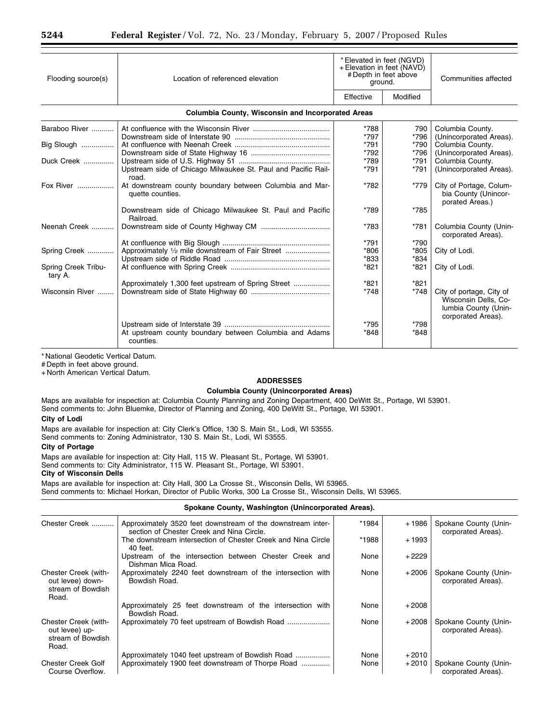| Flooding source(s)             | Location of referenced elevation                                            | *Elevated in feet (NGVD)<br>+ Elevation in feet (NAVD)<br># Depth in feet above<br>ground. |          | Communities affected                                                                           |  |  |
|--------------------------------|-----------------------------------------------------------------------------|--------------------------------------------------------------------------------------------|----------|------------------------------------------------------------------------------------------------|--|--|
|                                |                                                                             | Effective                                                                                  | Modified |                                                                                                |  |  |
|                                | <b>Columbia County, Wisconsin and Incorporated Areas</b>                    |                                                                                            |          |                                                                                                |  |  |
| Baraboo River                  |                                                                             | *788                                                                                       | 790      | Columbia County.                                                                               |  |  |
|                                |                                                                             | *797                                                                                       | *796     | (Unincorporated Areas).                                                                        |  |  |
| Big Slough                     |                                                                             | $*791$                                                                                     | *790     | Columbia County.                                                                               |  |  |
|                                |                                                                             | *792                                                                                       | *796     | (Unincorporated Areas).                                                                        |  |  |
| Duck Creek                     |                                                                             | *789                                                                                       | $*791$   | Columbia County.                                                                               |  |  |
|                                | Upstream side of Chicago Milwaukee St. Paul and Pacific Rail-<br>road.      | *791                                                                                       | *791     | (Unincorporated Areas).                                                                        |  |  |
| Fox River                      | At downstream county boundary between Columbia and Mar-<br>quette counties. | *782                                                                                       | *779     | City of Portage, Colum-<br>bia County (Unincor-<br>porated Areas.)                             |  |  |
|                                | Downstream side of Chicago Milwaukee St. Paul and Pacific<br>Railroad.      | *789                                                                                       | *785     |                                                                                                |  |  |
| Neenah Creek                   |                                                                             | *783                                                                                       | *781     | Columbia County (Unin-<br>corporated Areas).                                                   |  |  |
|                                |                                                                             | $*791$                                                                                     | *790     |                                                                                                |  |  |
| Spring Creek                   | Approximately 1/2 mile downstream of Fair Street                            | $*806$                                                                                     | *805     | City of Lodi.                                                                                  |  |  |
|                                |                                                                             | *833                                                                                       | $*834$   |                                                                                                |  |  |
| Spring Creek Tribu-<br>tary A. |                                                                             | *821                                                                                       | *821     | City of Lodi.                                                                                  |  |  |
|                                | Approximately 1,300 feet upstream of Spring Street                          | *821                                                                                       | $*821$   |                                                                                                |  |  |
| Wisconsin River                |                                                                             | $*748$                                                                                     | *748     | City of portage, City of<br>Wisconsin Dells, Co-<br>Iumbia County (Unin-<br>corporated Areas). |  |  |
|                                |                                                                             | *795                                                                                       | *798     |                                                                                                |  |  |
|                                | At upstream county boundary between Columbia and Adams<br>counties.         | *848                                                                                       | *848     |                                                                                                |  |  |

# Depth in feet above ground.

+ North American Vertical Datum.

# **ADDRESSES**

# **Columbia County (Unincorporated Areas)**

Maps are available for inspection at: Columbia County Planning and Zoning Department, 400 DeWitt St., Portage, WI 53901. Send comments to: John Bluemke, Director of Planning and Zoning, 400 DeWitt St., Portage, WI 53901. **City of Lodi** 

Maps are available for inspection at: City Clerk's Office, 130 S. Main St., Lodi, WI 53555.

Send comments to: Zoning Administrator, 130 S. Main St., Lodi, WI 53555.

# **City of Portage**

Maps are available for inspection at: City Hall, 115 W. Pleasant St., Portage, WI 53901. Send comments to: City Administrator, 115 W. Pleasant St., Portage, WI 53901.

# **City of Wisconsin Dells**

Maps are available for inspection at: City Hall, 300 La Crosse St., Wisconsin Dells, WI 53965.

Send comments to: Michael Horkan, Director of Public Works, 300 La Crosse St., Wisconsin Dells, WI 53965.

# **Spokane County, Washington (Unincorporated Areas).**

| Chester Creek                                                          | Approximately 3520 feet downstream of the downstream inter-<br>section of Chester Creek and Nina Circle. | *1984 | $+1986$ | Spokane County (Unin-<br>corporated Areas). |
|------------------------------------------------------------------------|----------------------------------------------------------------------------------------------------------|-------|---------|---------------------------------------------|
|                                                                        | The downstream intersection of Chester Creek and Nina Circle<br>40 feet.                                 | *1988 | + 1993  |                                             |
|                                                                        | Upstream of the intersection between Chester Creek and<br>Dishman Mica Road.                             | None  | $+2229$ |                                             |
| Chester Creek (with-<br>out levee) down-<br>stream of Bowdish<br>Road. | Approximately 2240 feet downstream of the intersection with<br>Bowdish Road.                             | None  | $+2006$ | Spokane County (Unin-<br>corporated Areas). |
|                                                                        | Approximately 25 feet downstream of the intersection with<br>Bowdish Road.                               | None  | $+2008$ |                                             |
| Chester Creek (with-<br>out levee) up-<br>stream of Bowdish<br>Road.   |                                                                                                          | None  | $+2008$ | Spokane County (Unin-<br>corporated Areas). |
|                                                                        | Approximately 1040 feet upstream of Bowdish Road                                                         | None  | $+2010$ |                                             |
| <b>Chester Creek Golf</b><br>Course Overflow.                          | Approximately 1900 feet downstream of Thorpe Road                                                        | None  | $+2010$ | Spokane County (Unin-<br>corporated Areas). |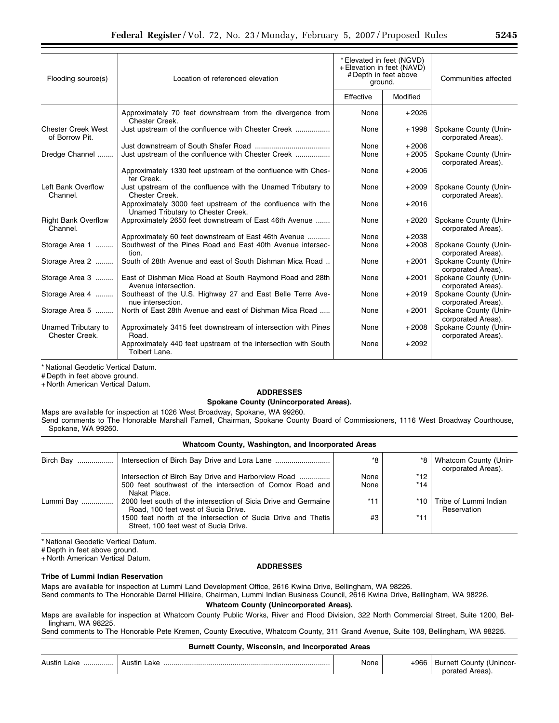| Flooding source(s)                          | Location of referenced elevation                                                                  | * Elevated in feet (NGVD)<br>+ Elevation in feet (NAVD)<br># Depth in feet above<br>ground. |          | Communities affected                        |
|---------------------------------------------|---------------------------------------------------------------------------------------------------|---------------------------------------------------------------------------------------------|----------|---------------------------------------------|
|                                             |                                                                                                   | Effective                                                                                   | Modified |                                             |
|                                             | Approximately 70 feet downstream from the divergence from<br>Chester Creek.                       | None                                                                                        | $+2026$  |                                             |
| <b>Chester Creek West</b><br>of Borrow Pit. |                                                                                                   | None                                                                                        | + 1998   | Spokane County (Unin-<br>corporated Areas). |
|                                             |                                                                                                   | None                                                                                        | $+2006$  |                                             |
| Dredge Channel                              |                                                                                                   | None                                                                                        | $+2005$  | Spokane County (Unin-<br>corporated Areas). |
|                                             | Approximately 1330 feet upstream of the confluence with Ches-<br>ter Creek.                       | None                                                                                        | $+2006$  |                                             |
| Left Bank Overflow<br>Channel.              | Just upstream of the confluence with the Unamed Tributary to<br>Chester Creek.                    | None                                                                                        | $+2009$  | Spokane County (Unin-<br>corporated Areas). |
|                                             | Approximately 3000 feet upstream of the confluence with the<br>Unamed Tributary to Chester Creek. | None                                                                                        | $+2016$  |                                             |
| <b>Right Bank Overflow</b><br>Channel.      | Approximately 2650 feet downstream of East 46th Avenue                                            | None                                                                                        | $+2020$  | Spokane County (Unin-<br>corporated Areas). |
|                                             | Approximately 60 feet downstream of East 46th Avenue                                              | None                                                                                        | $+2038$  |                                             |
| Storage Area 1                              | Southwest of the Pines Road and East 40th Avenue intersec-<br>tion.                               | None                                                                                        | $+2008$  | Spokane County (Unin-<br>corporated Areas). |
| Storage Area 2                              | South of 28th Avenue and east of South Dishman Mica Road                                          | None                                                                                        | $+2001$  | Spokane County (Unin-<br>corporated Areas). |
| Storage Area 3                              | East of Dishman Mica Road at South Raymond Road and 28th<br>Avenue intersection.                  | None                                                                                        | $+2001$  | Spokane County (Unin-<br>corporated Areas). |
| Storage Area 4                              | Southeast of the U.S. Highway 27 and East Belle Terre Ave-<br>nue intersection.                   | None                                                                                        | $+2019$  | Spokane County (Unin-<br>corporated Areas). |
| Storage Area 5                              | North of East 28th Avenue and east of Dishman Mica Road                                           | None                                                                                        | $+2001$  | Spokane County (Unin-<br>corporated Areas). |
| Unamed Tributary to<br>Chester Creek.       | Approximately 3415 feet downstream of intersection with Pines<br>Road.                            | None                                                                                        | $+2008$  | Spokane County (Unin-<br>corporated Areas). |
|                                             | Approximately 440 feet upstream of the intersection with South<br>Tolbert Lane.                   | None                                                                                        | $+2092$  |                                             |

# Depth in feet above ground.

+ North American Vertical Datum.

# **ADDRESSES**

# **Spokane County (Unincorporated Areas).**

Maps are available for inspection at 1026 West Broadway, Spokane, WA 99260. Send comments to The Honorable Marshall Farnell, Chairman, Spokane County Board of Commissioners, 1116 West Broadway Courthouse, Spokane, WA 99260.

## **Whatcom County, Washington, and Incorporated Areas**

| Birch Bay | Intersection of Birch Bay Drive and Lora Lane                                                          | *8    | *8∣   | Whatcom County (Unin-<br>corporated Areas). |
|-----------|--------------------------------------------------------------------------------------------------------|-------|-------|---------------------------------------------|
|           | Intersection of Birch Bay Drive and Harborview Road                                                    | None  | $*12$ |                                             |
|           | 500 feet southwest of the intersection of Comox Road and<br>Nakat Place.                               | None  | $*14$ |                                             |
| Lummi Bay | 2000 feet south of the intersection of Sicia Drive and Germaine<br>Road, 100 feet west of Sucia Drive. | $*11$ | *10   | Tribe of Lummi Indian<br>Reservation        |
|           | 1500 feet north of the intersection of Sucia Drive and Thetis<br>Street, 100 feet west of Sucia Drive. | #3    | $*11$ |                                             |

\* National Geodetic Vertical Datum.

# Depth in feet above ground.

+ North American Vertical Datum.

#### **ADDRESSES**

# **Tribe of Lummi Indian Reservation**

Maps are available for inspection at Lummi Land Development Office, 2616 Kwina Drive, Bellingham, WA 98226.

Send comments to The Honorable Darrel Hillaire, Chairman, Lummi Indian Business Council, 2616 Kwina Drive, Bellingham, WA 98226.

**Whatcom County (Unincorporated Areas).** 

Maps are available for inspection at Whatcom County Public Works, River and Flood Division, 322 North Commercial Street, Suite 1200, Bellingham, WA 98225.

Send comments to The Honorable Pete Kremen, County Executive, Whatcom County, 311 Grand Avenue, Suite 108, Bellingham, WA 98225.

#### **Burnett County, Wisconsin, and Incorporated Areas**

| <b>Austin Lake</b><br> | Austin<br>_ake | None | $+966$ | <b>Burnett County (Unincor-</b><br>porated Areas). |
|------------------------|----------------|------|--------|----------------------------------------------------|
|------------------------|----------------|------|--------|----------------------------------------------------|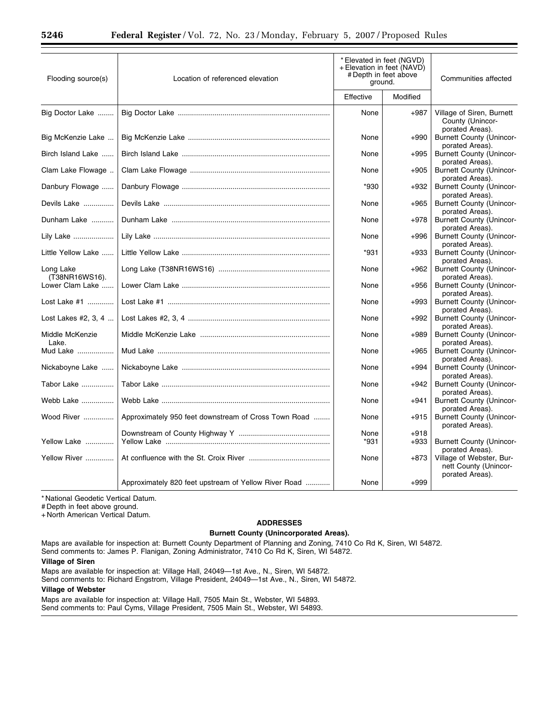| Flooding source(s)          | Location of referenced elevation                     | * Elevated in feet (NGVD)<br>+ Elevation in feet (NAVD)<br># Depth in feet above<br>ground. |          | Communities affected                                                  |
|-----------------------------|------------------------------------------------------|---------------------------------------------------------------------------------------------|----------|-----------------------------------------------------------------------|
|                             |                                                      | Effective                                                                                   | Modified |                                                                       |
| Big Doctor Lake             |                                                      | None                                                                                        | $+987$   | Village of Siren, Burnett<br>County (Unincor-<br>porated Areas).      |
| Big McKenzie Lake           |                                                      | None                                                                                        | +990     | <b>Burnett County (Unincor-</b><br>porated Areas).                    |
| Birch Island Lake           |                                                      | None                                                                                        | $+995$   | <b>Burnett County (Unincor-</b><br>porated Areas).                    |
| Clam Lake Flowage           |                                                      | None                                                                                        | $+905$   | <b>Burnett County (Unincor-</b><br>porated Areas).                    |
| Danbury Flowage             |                                                      | $*930$                                                                                      | +932     | <b>Burnett County (Unincor-</b><br>porated Areas).                    |
| Devils Lake                 |                                                      | None                                                                                        | $+965$   | <b>Burnett County (Unincor-</b><br>porated Areas).                    |
| Dunham Lake                 |                                                      | None                                                                                        | $+978$   | <b>Burnett County (Unincor-</b><br>porated Areas).                    |
| Lily Lake                   |                                                      | None                                                                                        | $+996$   | <b>Burnett County (Unincor-</b><br>porated Areas).                    |
| Little Yellow Lake          |                                                      | $*931$                                                                                      | $+933$   | <b>Burnett County (Unincor-</b><br>porated Areas).                    |
| Long Lake<br>(T38NR16WS16). |                                                      | None                                                                                        | $+962$   | <b>Burnett County (Unincor-</b><br>porated Areas).                    |
| Lower Clam Lake             |                                                      | None                                                                                        | +956     | <b>Burnett County (Unincor-</b>                                       |
| Lost Lake #1                |                                                      | None                                                                                        | $+993$   | porated Areas).<br><b>Burnett County (Unincor-</b>                    |
| Lost Lakes #2, 3, 4         |                                                      | None                                                                                        | $+992$   | porated Areas).<br><b>Burnett County (Unincor-</b>                    |
| Middle McKenzie             |                                                      | None                                                                                        | $+989$   | porated Areas).<br><b>Burnett County (Unincor-</b>                    |
| Lake.<br>Mud Lake           |                                                      | None                                                                                        | +965     | porated Areas).<br><b>Burnett County (Unincor-</b>                    |
| Nickaboyne Lake             |                                                      | None                                                                                        | $+994$   | porated Areas).<br><b>Burnett County (Unincor-</b>                    |
| Tabor Lake                  |                                                      | None                                                                                        | +942     | porated Areas).<br><b>Burnett County (Unincor-</b>                    |
| Webb Lake                   |                                                      | None                                                                                        | +941     | porated Areas).<br><b>Burnett County (Unincor-</b>                    |
| Wood River                  | Approximately 950 feet downstream of Cross Town Road | None                                                                                        | $+915$   | porated Areas).<br><b>Burnett County (Unincor-</b><br>porated Areas). |
|                             |                                                      | None                                                                                        | $+918$   |                                                                       |
| Yellow Lake                 |                                                      | $*931$                                                                                      | $+933$   | <b>Burnett County (Unincor-</b><br>porated Areas).                    |
| Yellow River                |                                                      | None                                                                                        | $+873$   | Village of Webster, Bur-<br>nett County (Unincor-<br>porated Areas).  |
|                             | Approximately 820 feet upstream of Yellow River Road | None                                                                                        | $+999$   |                                                                       |

# Depth in feet above ground.

+ North American Vertical Datum.

# **ADDRESSES Burnett County (Unincorporated Areas).**

Maps are available for inspection at: Burnett County Department of Planning and Zoning, 7410 Co Rd K, Siren, WI 54872. Send comments to: James P. Flanigan, Zoning Administrator, 7410 Co Rd K, Siren, WI 54872.

## **Village of Siren**

Maps are available for inspection at: Village Hall, 24049—1st Ave., N., Siren, WI 54872.

Send comments to: Richard Engstrom, Village President, 24049—1st Ave., N., Siren, WI 54872.

#### **Village of Webster**

Maps are available for inspection at: Village Hall, 7505 Main St., Webster, WI 54893. Send comments to: Paul Cyms, Village President, 7505 Main St., Webster, WI 54893.